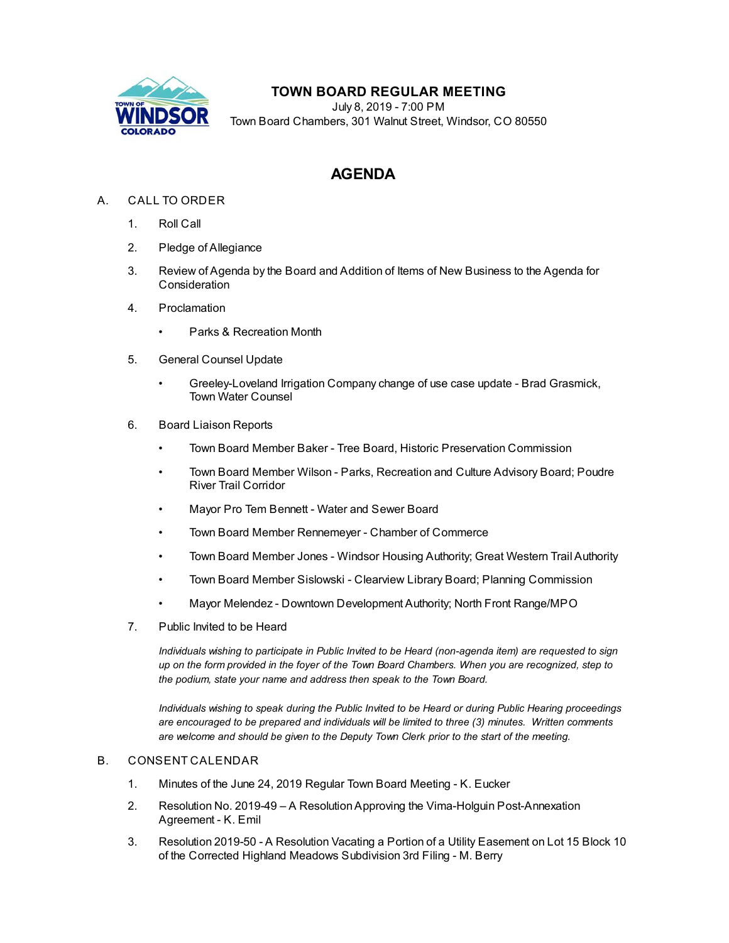

## **TOWN BOARD REGULAR MEETING**

July 8, 2019 - 7:00 PM Town Board Chambers, 301 Walnut Street, Windsor, CO 80550

# **AGENDA**

### A. CALL TO ORDER

- 1. Roll Call
- 2. Pledge of Allegiance
- 3. Review of Agenda by the Board and Addition of Items of New Business to the Agenda for Consideration
- 4. Proclamation
	- Parks & Recreation Month
- 5. General Counsel Update
	- [Greeley-Loveland Irrigation Company change of use case update Brad Grasmick,](file:///C:/Windows/TEMP/CoverSheet.aspx?ItemID=433&MeetingID=35) Town Water Counsel
- 6. Board Liaison Reports
	- Town Board Member Baker Tree Board, Historic Preservation Commission
	- Town Board Member Wilson Parks, Recreation and Culture Advisory Board; Poudre River Trail Corridor
	- Mayor Pro Tem Bennett Water and Sewer Board
	- Town Board Member Rennemeyer Chamber of Commerce
	- Town Board Member Jones Windsor Housing Authority; Great Western Trail Authority
	- Town Board Member Sislowski Clearview Library Board; Planning Commission
	- Mayor Melendez Downtown Development Authority; North Front Range/MPO
- 7. Public Invited to be Heard

*Individuals wishing to participate in Public Invited to be Heard (non-agenda item) are requested to sign up on the form provided in the foyer of the Town Board Chambers. When you are recognized, step to the podium, state your name and address then speak to the Town Board.*

*Individuals wishing to speak during the Public Invited to be Heard or during Public Hearing proceedings are encouraged to be prepared and individuals will be limited to three (3) minutes. Written comments are welcome and should be given to the Deputy Town Clerk prior to the start of the meeting.*

#### B. CONSENT CALENDAR

- 1. [Minutes of the June 24, 2019 Regular Town Board Meeting K. Eucker](file:///C:/Windows/TEMP/CoverSheet.aspx?ItemID=446&MeetingID=35)
- 2. [Resolution No. 2019-49 A Resolution Approving the Vima-Holguin Post-Annexation](file:///C:/Windows/TEMP/CoverSheet.aspx?ItemID=437&MeetingID=35) Agreement - K. Emil
- 3. [Resolution 2019-50 A Resolution Vacating a Portion of a Utility Easement on Lot 15 Block 10](file:///C:/Windows/TEMP/CoverSheet.aspx?ItemID=438&MeetingID=35) of the Corrected Highland Meadows Subdivision 3rd Filing - M. Berry